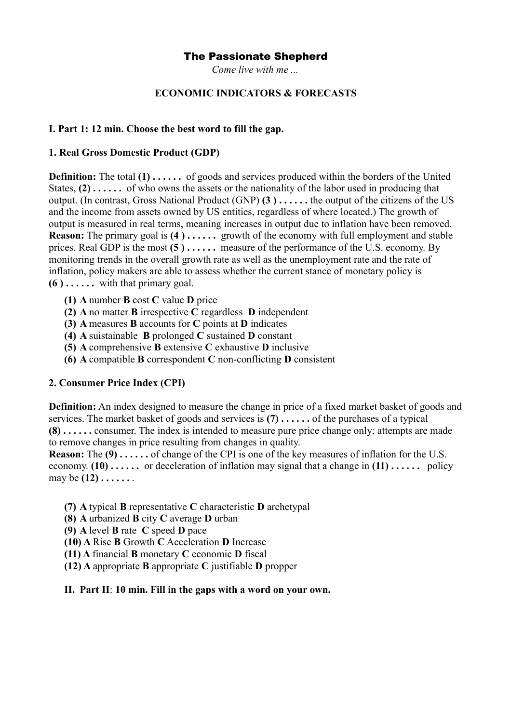*Come live with me ...*

### **ECONOMIC INDICATORS & FORECASTS**

#### **I. Part 1: 12 min. Choose the best word to fill the gap.**

#### **1. Real Gross Domestic Product (GDP)**

**Definition:** The total **(1) . . . . . .** of goods and services produced within the borders of the United States, **(2) . . . . . .** of who owns the assets or the nationality of the labor used in producing that output. (In contrast, Gross National Product (GNP) **(3 ) . . . . . .** the output of the citizens of the US and the income from assets owned by US entities, regardless of where located.) The growth of output is measured in real terms, meaning increases in output due to inflation have been removed. **Reason:** The primary goal is **(4)**...... growth of the economy with full employment and stable prices. Real GDP is the most **(5 ) . . . . . .** measure of the performance of the U.S. economy. By monitoring trends in the overall growth rate as well as the unemployment rate and the rate of inflation, policy makers are able to assess whether the current stance of monetary policy is **(6 ) . . . . . .** with that primary goal.

- **(1) A** number **B** cost **C** value **D** price
- **(2) A** no matter **B** irrespective **C** regardless **D** independent
- **(3) A** measures **B** accounts for **C** points at **D** indicates
- **(4) A** suistainable **B** prolonged **C** sustained **D** constant
- **(5) A** comprehensive **B** extensive **C** exhaustive **D** inclusive
- **(6) A** compatible **B** correspondent **C** non-conflicting **D** consistent

### **2. Consumer Price Index (CPI)**

**Definition:** An index designed to measure the change in price of a fixed market basket of goods and services. The market basket of goods and services is **(7) . . . . . .** of the purchases of a typical **(8) . . . . . .** consumer. The index is intended to measure pure price change only; attempts are made to remove changes in price resulting from changes in quality.

**Reason:** The **(9) . . . . . .** of change of the CPI is one of the key measures of inflation for the U.S. economy. **(10) . . . . . .** or deceleration of inflation may signal that a change in **(11) . . . . . .** policy may be **(12) . . . . . .** .

- **(7) A** typical **B** representative **C** characteristic **D** archetypal
- **(8) A** urbanized **B** city **C** average **D** urban
- **(9) A** level **B** rate **C** speed **D** pace
- **(10) A** Rise **B** Growth **C** Acceleration **D** Increase
- **(11) A** financial **B** monetary **C** economic **D** fiscal
- **(12) A** appropriate **B** appropriate **C** justifiable **D** propper

### **II. Part II**: **10 min. Fill in the gaps with a word on your own.**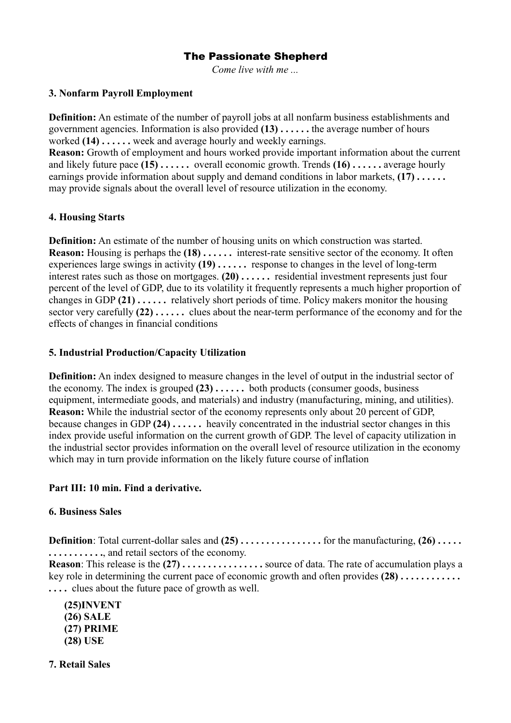*Come live with me ...*

## **3. Nonfarm Payroll Employment**

**Definition:** An estimate of the number of payroll jobs at all nonfarm business establishments and government agencies. Information is also provided **(13) . . . . . .** the average number of hours worked **(14) . . . . . .** week and average hourly and weekly earnings.

**Reason:** Growth of employment and hours worked provide important information about the current and likely future pace **(15) . . . . . .** overall economic growth. Trends **(16) . . . . . .** average hourly earnings provide information about supply and demand conditions in labor markets, **(17) . . . . . .** may provide signals about the overall level of resource utilization in the economy.

## **4. Housing Starts**

**Definition:** An estimate of the number of housing units on which construction was started. **Reason:** Housing is perhaps the **(18)** . . . . . . interest-rate sensitive sector of the economy. It often experiences large swings in activity **(19) . . . . . .** response to changes in the level of long-term interest rates such as those on mortgages. **(20) . . . . . .** residential investment represents just four percent of the level of GDP, due to its volatility it frequently represents a much higher proportion of changes in GDP **(21) . . . . . .** relatively short periods of time. Policy makers monitor the housing sector very carefully **(22) . . . . . .** clues about the near-term performance of the economy and for the effects of changes in financial conditions

### **5. Industrial Production/Capacity Utilization**

**Definition:** An index designed to measure changes in the level of output in the industrial sector of the economy. The index is grouped **(23) . . . . . .** both products (consumer goods, business equipment, intermediate goods, and materials) and industry (manufacturing, mining, and utilities). **Reason:** While the industrial sector of the economy represents only about 20 percent of GDP, because changes in GDP **(24) . . . . . .** heavily concentrated in the industrial sector changes in this index provide useful information on the current growth of GDP. The level of capacity utilization in the industrial sector provides information on the overall level of resource utilization in the economy which may in turn provide information on the likely future course of inflation

# **Part III: 10 min. Find a derivative.**

### **6. Business Sales**

**Definition**: Total current-dollar sales and **(25) . . . . . . . . . . . . . . . .** for the manufacturing, **(26) . . . . . . . . . . . . . . . .**, and retail sectors of the economy. **Reason**: This release is the  $(27)$  . . . . . . . . . . . . . . . . source of data. The rate of accumulation plays a key role in determining the current pace of economic growth and often provides **(28) . . . . . . . . . . . . . . . .** clues about the future pace of growth as well.

**(25)INVENT (26) SALE (27) PRIME (28) USE**

**7. Retail Sales**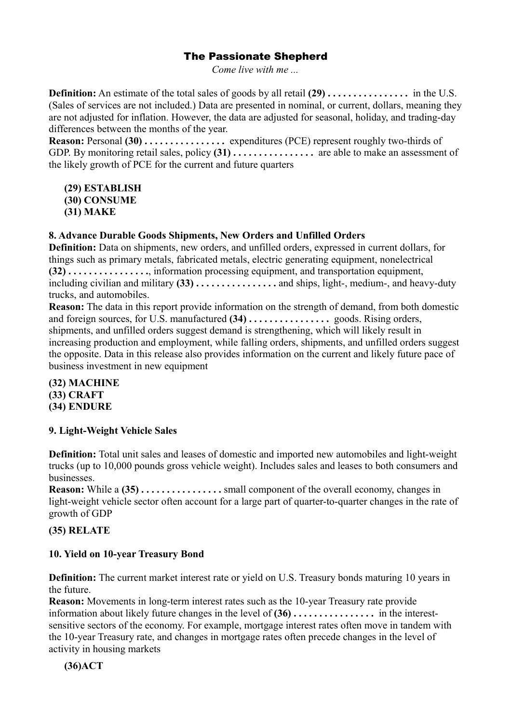*Come live with me ...*

**Definition:** An estimate of the total sales of goods by all retail **(29) . . . . . . . . . . . . . . . .** in the U.S. (Sales of services are not included.) Data are presented in nominal, or current, dollars, meaning they are not adjusted for inflation. However, the data are adjusted for seasonal, holiday, and trading-day differences between the months of the year.

**Reason:** Personal **(30) . . . . . . . . . . . . . . . .** expenditures (PCE) represent roughly two-thirds of GDP. By monitoring retail sales, policy **(31) . . . . . . . . . . . . . . . .** are able to make an assessment of the likely growth of PCE for the current and future quarters

**(29) ESTABLISH (30) CONSUME (31) MAKE**

### **8. Advance Durable Goods Shipments, New Orders and Unfilled Orders**

**Definition:** Data on shipments, new orders, and unfilled orders, expressed in current dollars, for things such as primary metals, fabricated metals, electric generating equipment, nonelectrical **(32) . . . . . . . . . . . . . . . .**, information processing equipment, and transportation equipment, including civilian and military **(33) . . . . . . . . . . . . . . . .** and ships, light-, medium-, and heavy-duty trucks, and automobiles.

**Reason:** The data in this report provide information on the strength of demand, from both domestic and foreign sources, for U.S. manufactured **(34) . . . . . . . . . . . . . . . .** goods. Rising orders, shipments, and unfilled orders suggest demand is strengthening, which will likely result in increasing production and employment, while falling orders, shipments, and unfilled orders suggest the opposite. Data in this release also provides information on the current and likely future pace of business investment in new equipment

**(32) MACHINE (33) CRAFT (34) ENDURE**

### **9. Light-Weight Vehicle Sales**

**Definition:** Total unit sales and leases of domestic and imported new automobiles and light-weight trucks (up to 10,000 pounds gross vehicle weight). Includes sales and leases to both consumers and businesses.

**Reason:** While a (35) . . . . . . . . . . . . . . . . . small component of the overall economy, changes in light-weight vehicle sector often account for a large part of quarter-to-quarter changes in the rate of growth of GDP

### **(35) RELATE**

### **10. Yield on 10-year Treasury Bond**

**Definition:** The current market interest rate or yield on U.S. Treasury bonds maturing 10 years in the future.

**Reason:** Movements in long-term interest rates such as the 10-year Treasury rate provide information about likely future changes in the level of **(36) . . . . . . . . . . . . . . . .** in the interestsensitive sectors of the economy. For example, mortgage interest rates often move in tandem with the 10-year Treasury rate, and changes in mortgage rates often precede changes in the level of activity in housing markets

**(36)ACT**